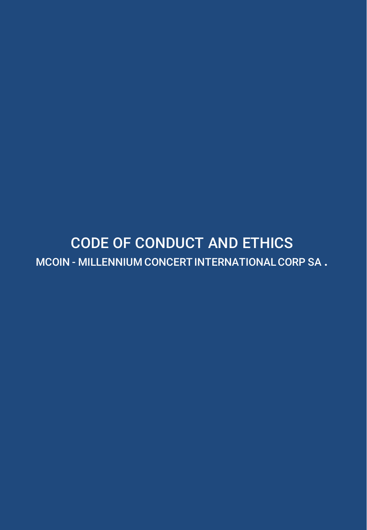# CODE OF CONDUCT AND ETHICS MCOIN - MILLENNIUM CONCERT INTERNATIONAL CORP SA .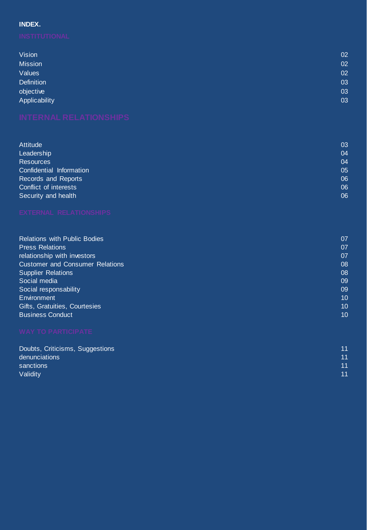## **INDEX.**

| <b>Vision</b>     | 02 |
|-------------------|----|
| <b>Mission</b>    | 02 |
| Values            | 02 |
| <b>Definition</b> | 03 |
| objective         | 03 |
| Applicability     | 03 |

| Attitude                 | 03 |
|--------------------------|----|
| Leadership               | 04 |
| Resources                | 04 |
| Confidential Information | 05 |
| Records and Reports      | 06 |
| Conflict of interests    | 06 |
| Security and health      | 06 |
|                          |    |

| <b>Relations with Public Bodies</b>    | 07 |
|----------------------------------------|----|
| <b>Press Relations</b>                 | 07 |
| relationship with investors            | 07 |
| <b>Customer and Consumer Relations</b> | 08 |
| <b>Supplier Relations</b>              | 08 |
| Social media                           | 09 |
| Social responsability                  | 09 |
| Environment                            | 10 |
| Gifts, Gratuities, Courtesies          | 10 |
| <b>Business Conduct</b>                | 10 |
|                                        |    |

| Doubts, Criticisms, Suggestions | 11 |
|---------------------------------|----|
| denunciations                   | 11 |
| sanctions                       | 11 |
| Validity                        | 11 |
|                                 |    |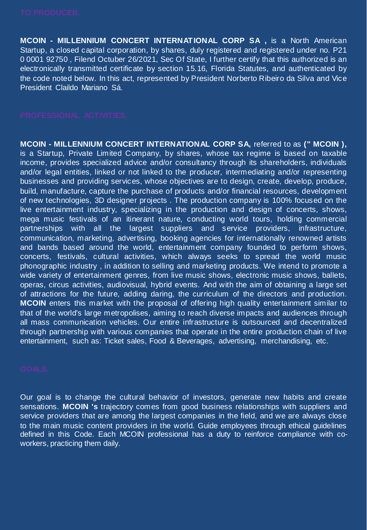**MCOIN - MILLENNIUM CONCERT INTERNATIONAL CORP SA ,** is a North American Startup, a closed capital corporation, by shares, duly registered and registered under no. P21 0 0001 92750 , Filend Octuber 26/2021, Sec Of State, I further certify that this authorized is an electronically transmitted certificate by section 15.16, Florida Statutes, and authenticated by the code noted below. In this act, represented by President Norberto Ribeiro da Silva and Vice President Claildo Mariano Sá.

**MCOIN - MILLENNIUM CONCERT INTERNATIONAL CORP SA,** referred to as **(" MCOIN ),** is a Startup, Private Limited Company, by shares, whose tax regime is based on taxable income, provides specialized advice and/or consultancy through its shareholders, individuals and/or legal entities, linked or not linked to the producer, intermediating and/or representing businesses and providing services, whose objectives are to design, create, develop, produce, build, manufacture, capture the purchase of products and/or financial resources, development of new technologies, 3D designer projects . The production company is 100% focused on the live entertainment industry, specializing in the production and design of concerts, shows, mega music festivals of an itinerant nature, conducting world tours, holding commercial partnerships with all the largest suppliers and service providers, infrastructure, communication, marketing, advertising, booking agencies for internationally renowned artists and bands based around the world, entertainment company founded to perform shows, concerts, festivals, cultural activities, which always seeks to spread the world music phonographic industry , in addition to selling and marketing products. We intend to promote a wide variety of entertainment genres, from live music shows, electronic music shows, ballets, operas, circus activities, audiovisual, hybrid events. And with the aim of obtaining a large set of attractions for the future, adding daring, the curriculum of the directors and production. **MCOIN** enters this market with the proposal of offering high quality entertainment similar to that of the world's large metropolises, aiming to reach diverse impacts and audiences through all mass communication vehicles. Our entire infrastructure is outsourced and decentralized through partnership with various companies that operate in the entire production chain of live entertainment, such as: Ticket sales, Food & Beverages, advertising, merchandising, etc.

Our goal is to change the cultural behavior of investors, generate new habits and create sensations. **MCOIN 's** trajectory comes from good business relationships with suppliers and service providers that are among the largest companies in the field, and we are always close to the main music content providers in the world. Guide employees through ethical guidelines defined in this Code. Each MCOIN professional has a duty to reinforce compliance with coworkers, practicing them daily.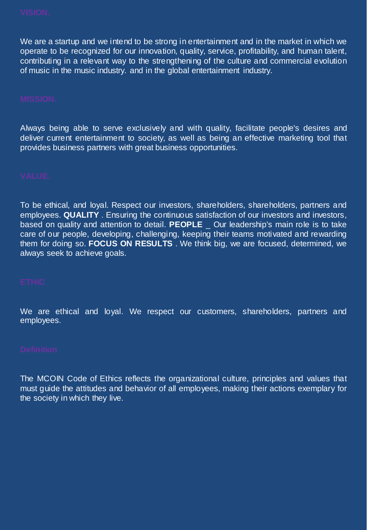We are a startup and we intend to be strong in entertainment and in the market in which we operate to be recognized for our innovation, quality, service, profitability, and human talent, contributing in a relevant way to the strengthening of the culture and commercial evolution of music in the music industry. and in the global entertainment industry.

Always being able to serve exclusively and with quality, facilitate people's desires and deliver current entertainment to society, as well as being an effective marketing tool that provides business partners with great business opportunities.

To be ethical, and loyal. Respect our investors, shareholders, shareholders, partners and employees. **QUALITY** . Ensuring the continuous satisfaction of our investors and investors, based on quality and attention to detail. **PEOPLE** \_ Our leadership's main role is to take care of our people, developing, challenging, keeping their teams motivated and rewarding them for doing so. **FOCUS ON RESULTS** . We think big, we are focused, determined, we always seek to achieve goals.

We are ethical and loyal. We respect our customers, shareholders, partners and employees.

The MCOIN Code of Ethics reflects the organizational culture, principles and values that must guide the attitudes and behavior of all employees, making their actions exemplary for the society in which they live.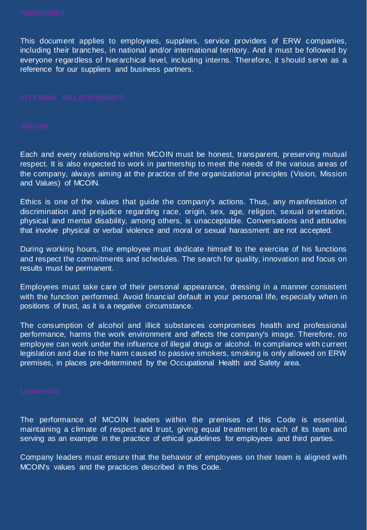This document applies to employees, suppliers, service providers of ERW companies, including their branches, in national and/or international territory. And it must be followed by everyone regardless of hierarchical level, including interns. Therefore, it should serve as a reference for our suppliers and business partners.

Each and every relationship within MCOIN must be honest, transparent, preserving mutual respect. It is also expected to work in partnership to meet the needs of the various areas of the company, always aiming at the practice of the organizational principles (Vision, Mission and Values) of MCOIN.

Ethics is one of the values that guide the company's actions. Thus, any manifestation of discrimination and prejudice regarding race, origin, sex, age, religion, sexual orientation, physical and mental disability, among others, is unacceptable. Conversations and attitudes that involve physical or verbal violence and moral or sexual harassment are not accepted.

During working hours, the employee must dedicate himself to the exercise of his functions and respect the commitments and schedules. The search for quality, innovation and focus on results must be permanent.

Employees must take care of their personal appearance, dressing in a manner consistent with the function performed. Avoid financial default in your personal life, especially when in positions of trust, as it is a negative circumstance.

The consumption of alcohol and illicit substances compromises health and professional performance, harms the work environment and affects the company's image. Therefore, no employee can work under the influence of illegal drugs or alcohol. In compliance with current legislation and due to the harm caused to passive smokers, smoking is only allowed on ERW premises, in places pre-determined by the Occupational Health and Safety area.

The performance of MCOIN leaders within the premises of this Code is essential, maintaining a climate of respect and trust, giving equal treatment to each of its team and serving as an example in the practice of ethical guidelines for employees and third parties.

Company leaders must ensure that the behavior of employees on their team is aligned with MCOIN's values and the practices described in this Code.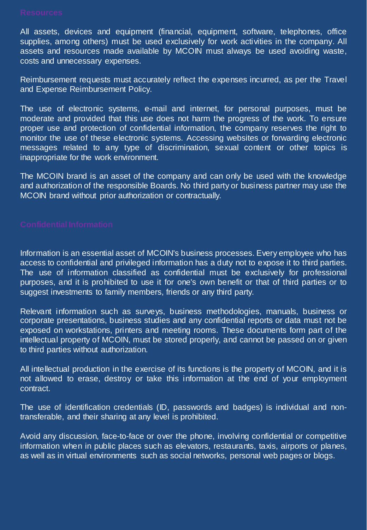All assets, devices and equipment (financial, equipment, software, telephones, office supplies, among others) must be used exclusively for work activities in the company. All assets and resources made available by MCOIN must always be used avoiding waste, costs and unnecessary expenses.

Reimbursement requests must accurately reflect the expenses incurred, as per the Travel and Expense Reimbursement Policy.

The use of electronic systems, e-mail and internet, for personal purposes, must be moderate and provided that this use does not harm the progress of the work. To ensure proper use and protection of confidential information, the company reserves the right to monitor the use of these electronic systems. Accessing websites or forwarding electronic messages related to any type of discrimination, sexual content or other topics is inappropriate for the work environment.

The MCOIN brand is an asset of the company and can only be used with the knowledge and authorization of the responsible Boards. No third party or business partner may use the MCOIN brand without prior authorization or contractually.

Information is an essential asset of MCOIN's business processes. Every employee who has access to confidential and privileged information has a duty not to expose it to third parties. The use of information classified as confidential must be exclusively for professional purposes, and it is prohibited to use it for one's own benefit or that of third parties or to suggest investments to family members, friends or any third party.

Relevant information such as surveys, business methodologies, manuals, business or corporate presentations, business studies and any confidential reports or data must not be exposed on workstations, printers and meeting rooms. These documents form part of the intellectual property of MCOIN, must be stored properly, and cannot be passed on or given to third parties without authorization.

All intellectual production in the exercise of its functions is the property of MCOIN, and it is not allowed to erase, destroy or take this information at the end of your employment contract.

The use of identification credentials (ID, passwords and badges) is individual and nontransferable, and their sharing at any level is prohibited.

Avoid any discussion, face-to-face or over the phone, involving confidential or competitive information when in public places such as elevators, restaurants, taxis, airports or planes, as well as in virtual environments such as social networks, personal web pages or blogs.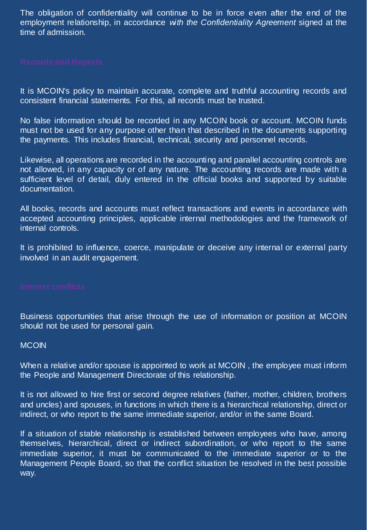The obligation of confidentiality will continue to be in force even after the end of the employment relationship, in accordance *with the Confidentiality Agreement* signed at the time of admission.

It is MCOIN's policy to maintain accurate, complete and truthful accounting records and consistent financial statements. For this, all records must be trusted.

No false information should be recorded in any MCOIN book or account. MCOIN funds must not be used for any purpose other than that described in the documents supporting the payments. This includes financial, technical, security and personnel records.

Likewise, all operations are recorded in the accounting and parallel accounting controls are not allowed, in any capacity or of any nature. The accounting records are made with a sufficient level of detail, duly entered in the official books and supported by suitable documentation.

All books, records and accounts must reflect transactions and events in accordance with accepted accounting principles, applicable internal methodologies and the framework of internal controls.

It is prohibited to influence, coerce, manipulate or deceive any internal or external party involved in an audit engagement.

Business opportunities that arise through the use of information or position at MCOIN should not be used for personal gain.

## **MCOIN**

When a relative and/or spouse is appointed to work at MCOIN , the employee must inform the People and Management Directorate of this relationship.

It is not allowed to hire first or second degree relatives (father, mother, children, brothers and uncles) and spouses, in functions in which there is a hierarchical relationship, direct or indirect, or who report to the same immediate superior, and/or in the same Board.

If a situation of stable relationship is established between employees who have, among themselves, hierarchical, direct or indirect subordination, or who report to the same immediate superior, it must be communicated to the immediate superior or to the Management People Board, so that the conflict situation be resolved in the best possible way.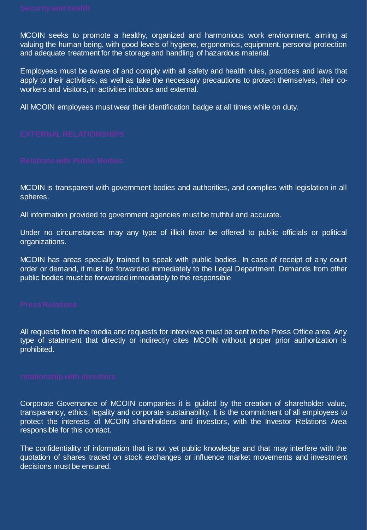MCOIN seeks to promote a healthy, organized and harmonious work environment, aiming at valuing the human being, with good levels of hygiene, ergonomics, equipment, personal protection and adequate treatment for the storage and handling of hazardous material.

Employees must be aware of and comply with all safety and health rules, practices and laws that apply to their activities, as well as take the necessary precautions to protect themselves, their coworkers and visitors, in activities indoors and external.

All MCOIN employees must wear their identification badge at all times while on duty.

MCOIN is transparent with government bodies and authorities, and complies with legislation in all spheres.

All information provided to government agencies must be truthful and accurate.

Under no circumstances may any type of illicit favor be offered to public officials or political organizations.

MCOIN has areas specially trained to speak with public bodies. In case of receipt of any court order or demand, it must be forwarded immediately to the Legal Department. Demands from other public bodies must be forwarded immediately to the responsible

All requests from the media and requests for interviews must be sent to the Press Office area. Any type of statement that directly or indirectly cites MCOIN without proper prior authorization is prohibited.

Corporate Governance of MCOIN companies it is guided by the creation of shareholder value, transparency, ethics, legality and corporate sustainability. It is the commitment of all employees to protect the interests of MCOIN shareholders and investors, with the Investor Relations Area responsible for this contact.

The confidentiality of information that is not yet public knowledge and that may interfere with the quotation of shares traded on stock exchanges or influence market movements and investment decisions must be ensured.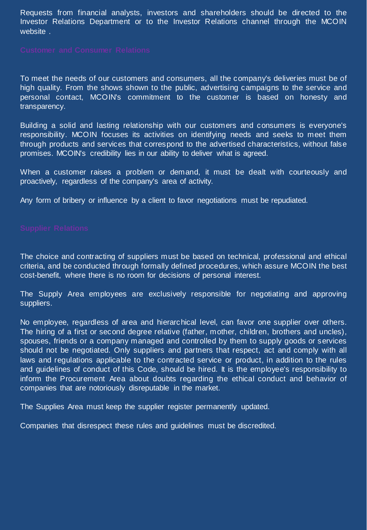Requests from financial analysts, investors and shareholders should be directed to the Investor Relations Department or to the Investor Relations channel through the MCOIN website .

To meet the needs of our customers and consumers, all the company's deliveries must be of high quality. From the shows shown to the public, advertising campaigns to the service and personal contact, MCOIN's commitment to the customer is based on honesty and transparency.

Building a solid and lasting relationship with our customers and consumers is everyone's responsibility. MCOIN focuses its activities on identifying needs and seeks to meet them through products and services that correspond to the advertised characteristics, without false promises. MCOIN's credibility lies in our ability to deliver what is agreed.

When a customer raises a problem or demand, it must be dealt with courteously and proactively, regardless of the company's area of activity.

Any form of bribery or influence by a client to favor negotiations must be repudiated.

The choice and contracting of suppliers must be based on technical, professional and ethical criteria, and be conducted through formally defined procedures, which assure MCOIN the best cost-benefit, where there is no room for decisions of personal interest.

The Supply Area employees are exclusively responsible for negotiating and approving suppliers.

No employee, regardless of area and hierarchical level, can favor one supplier over others. The hiring of a first or second degree relative (father, mother, children, brothers and uncles), spouses, friends or a company managed and controlled by them to supply goods or services should not be negotiated. Only suppliers and partners that respect, act and comply with all laws and regulations applicable to the contracted service or product, in addition to the rules and guidelines of conduct of this Code, should be hired. It is the employee's responsibility to inform the Procurement Area about doubts regarding the ethical conduct and behavior of companies that are notoriously disreputable in the market.

The Supplies Area must keep the supplier register permanently updated.

Companies that disrespect these rules and guidelines must be discredited.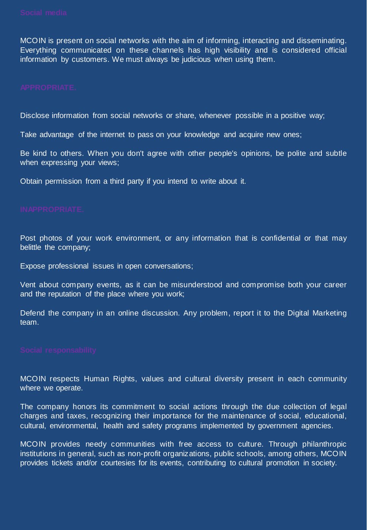MCOIN is present on social networks with the aim of informing, interacting and disseminating. Everything communicated on these channels has high visibility and is considered official information by customers. We must always be judicious when using them.

Disclose information from social networks or share, whenever possible in a positive way;

Take advantage of the internet to pass on your knowledge and acquire new ones;

Be kind to others. When you don't agree with other people's opinions, be polite and subtle when expressing your views;

Obtain permission from a third party if you intend to write about it.

Post photos of your work environment, or any information that is confidential or that may belittle the company;

Expose professional issues in open conversations;

Vent about company events, as it can be misunderstood and compromise both your career and the reputation of the place where you work;

Defend the company in an online discussion. Any problem, report it to the Digital Marketing team.

MCOIN respects Human Rights, values and cultural diversity present in each community where we operate.

The company honors its commitment to social actions through the due collection of legal charges and taxes, recognizing their importance for the maintenance of social, educational, cultural, environmental, health and safety programs implemented by government agencies.

MCOIN provides needy communities with free access to culture. Through philanthropic institutions in general, such as non-profit organizations, public schools, among others, MCOIN provides tickets and/or courtesies for its events, contributing to cultural promotion in society.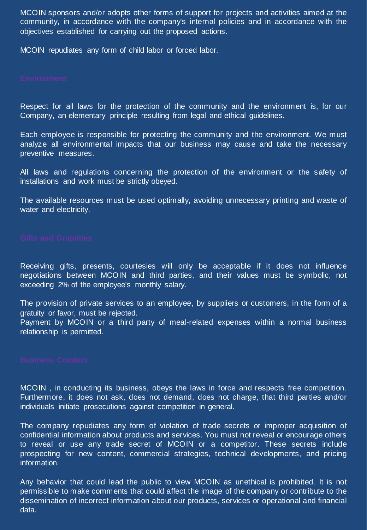MCOIN sponsors and/or adopts other forms of support for projects and activities aimed at the community, in accordance with the company's internal policies and in accordance with the objectives established for carrying out the proposed actions.

MCOIN repudiates any form of child labor or forced labor.

Respect for all laws for the protection of the community and the environment is, for our Company, an elementary principle resulting from legal and ethical guidelines.

Each employee is responsible for protecting the community and the environment. We must analyze all environmental impacts that our business may cause and take the necessary preventive measures.

All laws and regulations concerning the protection of the environment or the safety of installations and work must be strictly obeyed.

The available resources must be used optimally, avoiding unnecessary printing and waste of water and electricity.

Receiving gifts, presents, courtesies will only be acceptable if it does not influence negotiations between MCOIN and third parties, and their values must be symbolic, not exceeding 2% of the employee's monthly salary.

The provision of private services to an employee, by suppliers or customers, in the form of a gratuity or favor, must be rejected.

Payment by MCOIN or a third party of meal-related expenses within a normal business relationship is permitted.

MCOIN , in conducting its business, obeys the laws in force and respects free competition. Furthermore, it does not ask, does not demand, does not charge, that third parties and/or individuals initiate prosecutions against competition in general.

The company repudiates any form of violation of trade secrets or improper acquisition of confidential information about products and services. You must not reveal or encourage others to reveal or use any trade secret of MCOIN or a competitor. These secrets include prospecting for new content, commercial strategies, technical developments, and pricing information.

Any behavior that could lead the public to view MCOIN as unethical is prohibited. It is not permissible to make comments that could affect the image of the company or contribute to the dissemination of incorrect information about our products, services or operational and financial data.